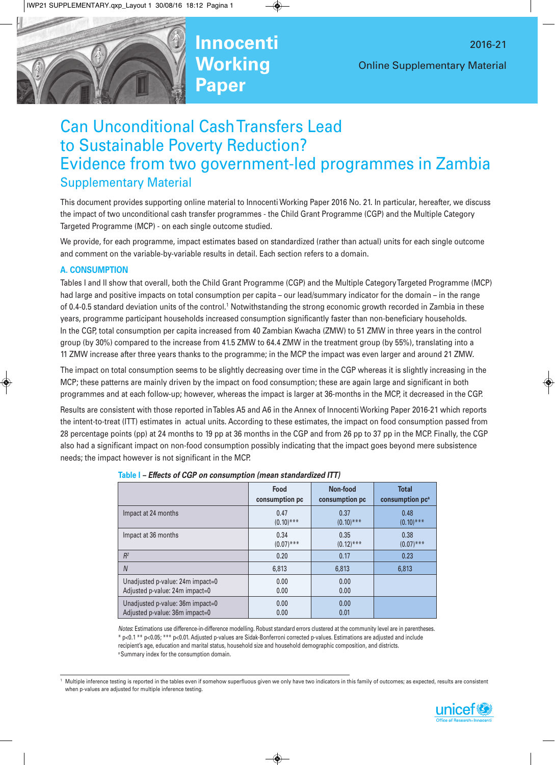

# Can Unconditional CashTransfers Lead to Sustainable Poverty Reduction? Evidence from two government-led programmes in Zambia

# Supplementary Material

This document provides supporting online material to Innocenti Working Paper 2016 No. 21. In particular, hereafter, we discuss the impact of two unconditional cash transfer programmes - the Child Grant Programme (CGP) and the Multiple Category Targeted Programme (MCP) - on each single outcome studied.

We provide, for each programme, impact estimates based on standardized (rather than actual) units for each single outcome and comment on the variable-by-variable results in detail. Each section refers to a domain.

# **A. CONSUMPTION**

Tables I and II show that overall, both the Child Grant Programme (CGP) and the Multiple CategoryTargeted Programme (MCP) had large and positive impacts on total consumption per capita – our lead/summary indicator for the domain – in the range of 0.4-0.5 standard deviation units of the control.<sup>1</sup> Notwithstanding the strong economic growth recorded in Zambia in these years, programme participant households increased consumption significantly faster than non-beneficiary households. In the CGP, total consumption per capita increased from 40 Zambian Kwacha (ZMW) to 51 ZMW in three years in the control group (by 30%) compared to the increase from 41.5 ZMW to 64.4 ZMW in the treatment group (by 55%), translating into a 11 ZMW increase after three years thanks to the programme; in the MCP the impact was even larger and around 21 ZMW.

The impact on total consumption seems to be slightly decreasing over time in the CGP whereas it is slightly increasing in the MCP; these patterns are mainly driven by the impact on food consumption; these are again large and significant in both programmes and at each follow-up; however, whereas the impact is larger at 36-months in the MCP, it decreased in the CGP.

Results are consistent with those reported inTables A5 and A6 in the Annex of Innocenti Working Paper 2016-21 which reports the intent-to-treat (ITT) estimates in actual units. According to these estimates, the impact on food consumption passed from 28 percentage points (pp) at 24 months to 19 pp at 36 months in the CGP and from 26 pp to 37 pp in the MCP. Finally, the CGP also had a significant impact on non-food consumption possibly indicating that the impact goes beyond mere subsistence needs; the impact however is not significant in the MCP.

|                                  | Food           | Non-food       | <b>Total</b>                |
|----------------------------------|----------------|----------------|-----------------------------|
|                                  | consumption pc | consumption pc | consumption pc <sup>a</sup> |
| Impact at 24 months              | 0.47           | 0.37           | 0.48                        |
|                                  | $(0.10)$ ***   | $(0.10)$ ***   | $(0.10)$ ***                |
| Impact at 36 months              | 0.34           | 0.35           | 0.38                        |
|                                  | $(0.07)$ ***   | $(0.12)$ ***   | $(0.07)$ ***                |
| R <sup>2</sup>                   | 0.20           | 0.17           | 0.23                        |
| $\overline{N}$                   | 6,813          | 6,813          | 6,813                       |
| Unadjusted p-value: 24m impact=0 | 0.00           | 0.00           |                             |
| Adjusted p-value: 24m impact=0   | 0.00           | 0.00           |                             |
| Unadjusted p-value: 36m impact=0 | 0.00           | 0.00           |                             |
| Adjusted p-value: 36m impact=0   | 0.00           | 0.01           |                             |

|  |  |  |  | Table I - Effects of CGP on consumption (mean standardized ITT) |  |
|--|--|--|--|-----------------------------------------------------------------|--|
|--|--|--|--|-----------------------------------------------------------------|--|

*Notes*: Estimations use difference-in-difference modelling. Robust standard errors clustered at the community level are in parentheses. \* p<0.1 \*\* p<0.05; \*\*\* p<0.01. Adjusted p-values are Sidak-Bonferroni corrected p-values. Estimations are adjusted and include recipient's age, education and marital status, household size and household demographic composition, and districts. <sup>a</sup> Summary index for the consumption domain.

<sup>1</sup> Multiple inference testing is reported in the tables even if somehow superfluous given we only have two indicators in this family of outcomes; as expected, results are consistent when p-values are adjusted for multiple inference testing.

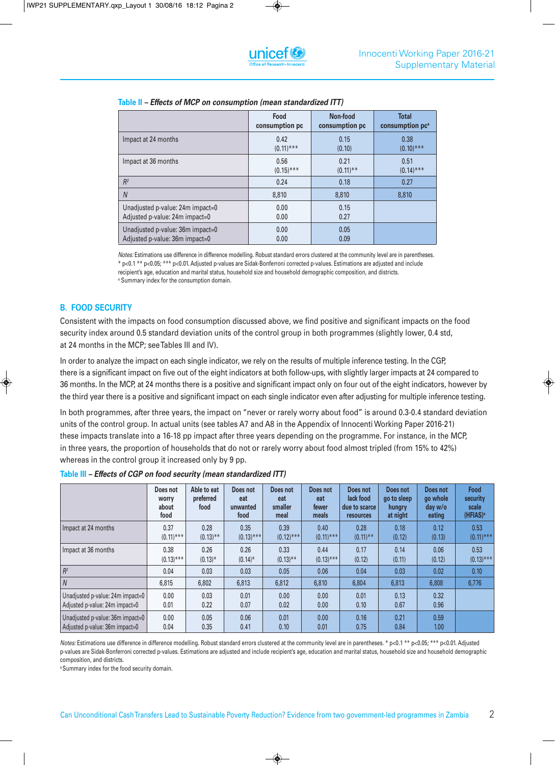|                                  | Food           | Non-food       | <b>Total</b>                |
|----------------------------------|----------------|----------------|-----------------------------|
|                                  | consumption pc | consumption pc | consumption pc <sup>a</sup> |
| Impact at 24 months              | 0.42           | 0.15           | 0.38                        |
|                                  | $(0.11)$ ***   | (0.10)         | $(0.10)$ ***                |
| Impact at 36 months              | 0.56           | 0.21           | 0.51                        |
|                                  | $(0.15)$ ***   | $(0.11)$ **    | $(0.14)$ ***                |
| $R^2$                            | 0.24           | 0.18           | 0.27                        |
| $\overline{N}$                   | 8,810          | 8,810          | 8,810                       |
| Unadjusted p-value: 24m impact=0 | 0.00           | 0.15           |                             |
| Adjusted p-value: 24m impact=0   | 0.00           | 0.27           |                             |
| Unadjusted p-value: 36m impact=0 | 0.00           | 0.05           |                             |
| Adjusted p-value: 36m impact=0   | 0.00           | 0.09           |                             |

#### **Table II** *– Effects of MCP on consumption (mean standardized ITT)*

*Notes:* Estimations use difference in difference modelling. Robust standard errors clustered at the community level are in parentheses. \* p<0.1 \*\* p<0.05; \*\*\* p<0.01. Adjusted p-values are Sidak-Bonferroni corrected p-values. Estimations are adjusted and include recipient's age, education and marital status, household size and household demographic composition, and districts. <sup>a</sup> Summary index for the consumption domain.

# **B. FOOD SECURITY**

Consistent with the impacts on food consumption discussed above, we find positive and significant impacts on the food security index around 0.5 standard deviation units of the control group in both programmes (slightly lower, 0.4 std, at 24 months in the MCP; seeTables III and IV).

In order to analyze the impact on each single indicator, we rely on the results of multiple inference testing. In the CGP, there is a significant impact on five out of the eight indicators at both follow-ups, with slightly larger impacts at 24 compared to 36 months. In the MCP, at 24 months there is a positive and significant impact only on four out of the eight indicators, however by the third year there is a positive and significant impact on each single indicator even after adjusting for multiple inference testing.

In both programmes, after three years, the impact on "never or rarely worry about food" is around 0.3-0.4 standard deviation units of the control group. In actual units (see tables A7 and A8 in the Appendix of Innocenti Working Paper 2016-21) these impacts translate into a 16-18 pp impact after three years depending on the programme. For instance, in the MCP, in three years, the proportion of households that do not or rarely worry about food almost tripled (from 15% to 42%) whereas in the control group it increased only by 9 pp.

**Table III** *– Effects of CGP on food security (mean standardized ITT)*

|                                  | Does not<br><b>WOrry</b><br>about<br>food | Able to eat<br>preferred<br>food | Does not<br>eat<br>unwanted<br>food | Does not<br>eat<br>smaller<br>meal | Does not<br>eat<br>fewer<br>meals | Does not<br>lack food<br>due to scarce<br><b>resources</b> | Does not<br>go to sleep<br>hungry<br>at night | Does not<br>go whole<br>day w/o<br>eating | <b>Food</b><br>security<br>scale<br>(HFIAS) <sup>a</sup> |
|----------------------------------|-------------------------------------------|----------------------------------|-------------------------------------|------------------------------------|-----------------------------------|------------------------------------------------------------|-----------------------------------------------|-------------------------------------------|----------------------------------------------------------|
| Impact at 24 months              | 0.37                                      | 0.28                             | 0.35                                | 0.39                               | 0.40                              | 0.28                                                       | 0.18                                          | 0.12                                      | 0.53                                                     |
|                                  | $(0.11)$ ***                              | $(0.13)$ **                      | $(0.13)$ ***                        | $(0.12)$ ***                       | $(0.11)$ ***                      | $(0.11)$ **                                                | (0.12)                                        | (0.13)                                    | $(0.11)$ ***                                             |
| Impact at 36 months              | 0.38                                      | 0.26                             | 0.26                                | 0.33                               | 0.44                              | 0.17                                                       | 0.14                                          | 0.06                                      | 0.53                                                     |
|                                  | $(0.13)$ ***                              | $(0.13)$ *                       | $(0.14)^*$                          | $(0.13)$ **                        | $(0.13)$ ***                      | (0.12)                                                     | (0.11)                                        | (0.12)                                    | $(0.13)$ ***                                             |
| $R^2$                            | 0.04                                      | 0.03                             | 0.03                                | 0.05                               | 0.06                              | 0.04                                                       | 0.03                                          | 0.02                                      | 0.10                                                     |
| $\overline{N}$                   | 6,815                                     | 6,802                            | 6,813                               | 6,812                              | 6,810                             | 6,804                                                      | 6,813                                         | 6,808                                     | 6,776                                                    |
| Unadjusted p-value: 24m impact=0 | 0.00                                      | 0.03                             | 0.01                                | 0.00                               | 0.00 <sub>1</sub>                 | 0.01                                                       | 0.13                                          | 0.32                                      |                                                          |
| Adjusted p-value: 24m impact=0   | 0.01                                      | 0.22                             | 0.07                                | 0.02                               | 0.00 <sub>1</sub>                 | 0.10                                                       | 0.67                                          | 0.96                                      |                                                          |
| Unadjusted p-value: 36m impact=0 | 0.00                                      | 0.05                             | 0.06                                | 0.01                               | 0.00 <sub>1</sub>                 | 0.16                                                       | 0.21                                          | 0.59                                      |                                                          |
| Adjusted p-value: 36m impact=0   | 0.04                                      | 0.35                             | 0.41                                | 0.10                               | 0.01                              | 0.75                                                       | 0.84                                          | 1.00 <sub>1</sub>                         |                                                          |

*Notes:* Estimations use difference in difference modelling. Robust standard errors clustered at the community level are in parentheses. \* p<0.1 \*\* p<0.05; \*\*\* p<0.01. Adjusted p-values are Sidak-Bonferroni corrected p-values. Estimations are adjusted and include recipient's age, education and marital status, household size and household demographic composition, and districts.

<sup>a</sup> Summary index for the food security domain.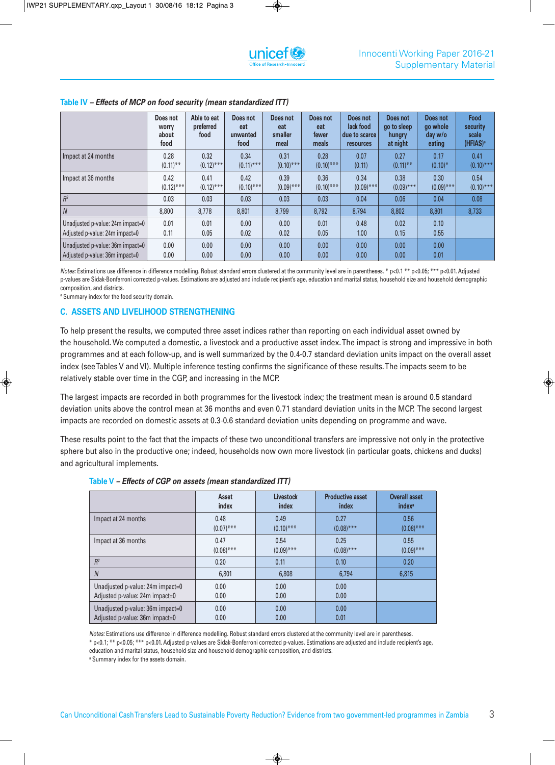|                                  | Does not<br>worry<br>about<br>food | Able to eat<br>preferred<br>food | Does not<br>eat<br>unwanted<br>food | Does not<br>eat<br>smaller<br>meal | Does not<br>eat<br>fewer<br>meals | Does not<br>lack food<br>due to scarce<br><b>resources</b> | Does not<br>go to sleep<br>hungry<br>at night | Does not<br>go whole<br>day w/o<br>eating | <b>Food</b><br>security<br>scale<br>(HFIAS) <sup>a</sup> |
|----------------------------------|------------------------------------|----------------------------------|-------------------------------------|------------------------------------|-----------------------------------|------------------------------------------------------------|-----------------------------------------------|-------------------------------------------|----------------------------------------------------------|
| Impact at 24 months              | 0.28                               | 0.32                             | 0.34                                | 0.31                               | 0.28                              | 0.07                                                       | 0.27                                          | 0.17                                      | 0.41                                                     |
|                                  | $(0.11)$ **                        | $(0.12)$ ***                     | $(0.11)$ ***                        | $(0.10)$ ***                       | $(0.10)$ ***                      | (0.11)                                                     | $(0.11)$ **                                   | $(0.10)*$                                 | $(0.10)$ ***                                             |
| Impact at 36 months              | 0.42                               | 0.41                             | 0.42                                | 0.39                               | 0.36                              | 0.34                                                       | 0.38                                          | 0.30                                      | 0.54                                                     |
|                                  | $(0.12)$ ***                       | $(0.12)$ ***                     | $(0.10)$ ***                        | $(0.09)$ ***                       | $(0.10)$ ***                      | $(0.09)$ ***                                               | $(0.09)$ ***                                  | $(0.09)$ ***                              | $(0.10)$ ***                                             |
| $R^2$                            | 0.03                               | 0.03                             | 0.03                                | 0.03                               | 0.03                              | 0.04                                                       | 0.06                                          | 0.04                                      | 0.08                                                     |
| $\overline{N}$                   | 8,800                              | 8,778                            | 8,801                               | 8,799                              | 8,792                             | 8,794                                                      | 8,802                                         | 8,801                                     | 8,733                                                    |
| Unadjusted p-value: 24m impact=0 | 0.01                               | 0.01                             | 0.00                                | 0.00                               | 0.01                              | 0.48                                                       | 0.02                                          | 0.10                                      |                                                          |
| Adjusted p-value: 24m impact=0   | 0.11                               | 0.05                             | 0.02                                | 0.02                               | 0.05                              | 1.00                                                       | 0.15                                          | 0.55                                      |                                                          |
| Unadjusted p-value: 36m impact=0 | 0.00                               | 0.00                             | 0.00                                | 0.00                               | 0.00 <sub>1</sub>                 | 0.00                                                       | 0.00                                          | 0.00                                      |                                                          |
| Adjusted p-value: 36m impact=0   | 0.00                               | 0.00                             | 0.00                                | 0.00                               | 0.00 <sub>1</sub>                 | 0.00 <sub>1</sub>                                          | 0.00                                          | 0.01                                      |                                                          |

# **Table IV** *– Effects of MCP on food security (mean standardized ITT)*

*Notes:* Estimations use difference in difference modelling. Robust standard errors clustered at the community level are in parentheses. \* p<0.1 \*\* p<0.05; \*\*\* p<0.01. Adjusted p-values are Sidak-Bonferroni corrected p-values. Estimations are adjusted and include recipient's age, education and marital status, household size and household demographic composition, and districts.

<sup>a</sup> Summary index for the food security domain.

#### **C. ASSETS AND LIVELIHOOD STRENGTHENING**

To help present the results, we computed three asset indices rather than reporting on each individual asset owned by the household. We computed a domestic, a livestock and a productive asset index.The impact is strong and impressive in both programmes and at each follow-up, and is well summarized by the 0.4-0.7 standard deviation units impact on the overall asset index (seeTables V and VI). Multiple inference testing confirms the significance of these results.The impacts seem to be relatively stable over time in the CGP, and increasing in the MCP.

The largest impacts are recorded in both programmes for the livestock index; the treatment mean is around 0.5 standard deviation units above the control mean at 36 months and even 0.71 standard deviation units in the MCP. The second largest impacts are recorded on domestic assets at 0.3-0.6 standard deviation units depending on programme and wave.

These results point to the fact that the impacts of these two unconditional transfers are impressive not only in the protective sphere but also in the productive one; indeed, households now own more livestock (in particular goats, chickens and ducks) and agricultural implements.

|                                  | Asset        | <b>Livestock</b> | <b>Productive asset</b> | <b>Overall asset</b>     |
|----------------------------------|--------------|------------------|-------------------------|--------------------------|
|                                  | index        | index            | index                   | <i>index<sup>a</sup></i> |
| Impact at 24 months              | 0.48         | 0.49             | 0.27                    | 0.56                     |
|                                  | $(0.07)$ *** | $(0.10)$ ***     | $(0.08)$ ***            | $(0.08)$ ***             |
| Impact at 36 months              | 0.47         | 0.54             | 0.25                    | 0.55                     |
|                                  | $(0.08)$ *** | $(0.09)$ ***     | $(0.08)$ ***            | $(0.09)$ ***             |
| $R^2$                            | 0.20         | 0.11             | 0.10                    | 0.20                     |
| $\overline{N}$                   | 6,801        | 6,808            | 6,794                   | 6,815                    |
| Unadjusted p-value: 24m impact=0 | 0.00         | 0.00             | 0.00                    |                          |
| Adjusted p-value: 24m impact=0   | 0.00         | 0.00             | 0.00                    |                          |
| Unadjusted p-value: 36m impact=0 | 0.00         | 0.00             | 0.00                    |                          |
| Adjusted p-value: 36m impact=0   | 0.00         | 0.00             | 0.01                    |                          |

#### **Table V** *– Effects of CGP on assets (mean standardized ITT)*

*Notes:* Estimations use difference in difference modelling. Robust standard errors clustered at the community level are in parentheses.

\* p<0.1; \*\* p<0.05; \*\*\* p<0.01. Adjusted p-values are Sidak-Bonferroni corrected p-values. Estimations are adjusted and include recipient's age, education and marital status, household size and household demographic composition, and districts.

<sup>a</sup> Summary index for the assets domain.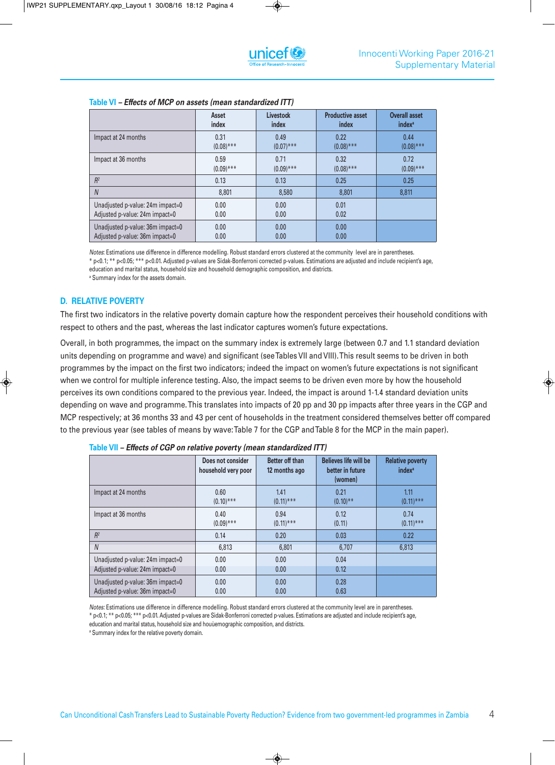|                                  | Asset        | <b>Livestock</b> | <b>Productive asset</b> | <b>Overall asset</b>     |  |
|----------------------------------|--------------|------------------|-------------------------|--------------------------|--|
|                                  | index        | index            | index                   | <i>index<sup>a</sup></i> |  |
| Impact at 24 months              | 0.31         | 0.49             | 0.22                    | 0.44                     |  |
|                                  | $(0.08)$ *** | $(0.07)$ ***     | $(0.08)$ ***            | $(0.08)$ ***             |  |
| Impact at 36 months              | 0.59         | 0.71             | 0.32                    | 0.72                     |  |
|                                  | $(0.09)$ *** | $(0.09)$ ***     | $(0.08)$ ***            | $(0.09)$ ***             |  |
| R <sup>2</sup>                   | 0.13         | 0.13             | 0.25                    | 0.25                     |  |
| $\overline{N}$                   | 8,801        | 8,580            | 8,801                   | 8,811                    |  |
| Unadjusted p-value: 24m impact=0 | 0.00         | 0.00             | 0.01                    |                          |  |
| Adjusted p-value: 24m impact=0   | 0.00         | 0.00             | 0.02                    |                          |  |
| Unadjusted p-value: 36m impact=0 | 0.00         | 0.00             | 0.00                    |                          |  |
| Adjusted p-value: 36m impact=0   | 0.00         | 0.00             | 0.00                    |                          |  |

#### **Table VI** *– Effects of MCP on assets (mean standardized ITT)*

*Notes*: Estimations use difference in difference modelling. Robust standard errors clustered at the community level are in parentheses. \* p<0.1; \*\* p<0.05; \*\*\* p<0.01. Adjusted p-values are Sidak-Bonferroni corrected p-values. Estimations are adjusted and include recipient's age, education and marital status, household size and household demographic composition, and districts.

<sup>a</sup> Summary index for the assets domain.

# **D. RELATIVE POVERTY**

The first two indicators in the relative poverty domain capture how the respondent perceives their household conditions with respect to others and the past, whereas the last indicator captures women's future expectations.

Overall, in both programmes, the impact on the summary index is extremely large (between 0.7 and 1.1 standard deviation units depending on programme and wave) and significant (seeTables VII and VIII).This result seems to be driven in both programmes by the impact on the first two indicators; indeed the impact on women's future expectations is not significant when we control for multiple inference testing. Also, the impact seems to be driven even more by how the household perceives its own conditions compared to the previous year. Indeed, the impact is around 1-1.4 standard deviation units depending on wave and programme.This translates into impacts of 20 pp and 30 pp impacts after three years in the CGP and MCP respectively; at 36 months 33 and 43 per cent of households in the treatment considered themselves better off compared to the previous year (see tables of means by wave:Table 7 for the CGP andTable 8 for the MCP in the main paper).

|                                  | Does not consider<br>household very poor | Better off than<br>12 months ago | <b>Believes life will be</b><br>better in future<br>(women) | <b>Relative poverty</b><br><i>index<sup>a</sup></i> |
|----------------------------------|------------------------------------------|----------------------------------|-------------------------------------------------------------|-----------------------------------------------------|
| Impact at 24 months              | 0.60                                     | 1.41                             | 0.21                                                        | 1.11                                                |
|                                  | $(0.10)$ ***                             | $(0.11)$ ***                     | $(0.10)$ **                                                 | $(0.11)$ ***                                        |
| Impact at 36 months              | 0.40                                     | 0.94                             | 0.12                                                        | 0.74                                                |
|                                  | $(0.09)$ ***                             | $(0.11)$ ***                     | (0.11)                                                      | $(0.11)$ ***                                        |
| R <sup>2</sup>                   | 0.14                                     | 0.20                             | 0.03                                                        | 0.22                                                |
| $\overline{N}$                   | 6,813                                    | 6,801                            | 6.707                                                       | 6,813                                               |
| Unadjusted p-value: 24m impact=0 | 0.00                                     | 0.00                             | 0.04                                                        |                                                     |
| Adjusted p-value: 24m impact=0   | 0.00                                     | 0.00                             | 0.12                                                        |                                                     |
| Unadjusted p-value: 36m impact=0 | 0.00                                     | 0.00                             | 0.28                                                        |                                                     |
| Adjusted p-value: 36m impact=0   | 0.00                                     | 0.00                             | 0.63                                                        |                                                     |

**Table VII** *– Effects of CGP on relative poverty (mean standardized ITT)*

*Notes:* Estimations use difference in difference modelling. Robust standard errors clustered at the community level are in parentheses. \* p<0.1; \*\* p<0.05; \*\*\* p<0.01. Adjusted p-values are Sidak-Bonferroni corrected p-values. Estimations are adjusted and include recipient's age,

education and marital status, household size and houùemographic composition, and districts.

<sup>a</sup> Summary index for the relative poverty domain.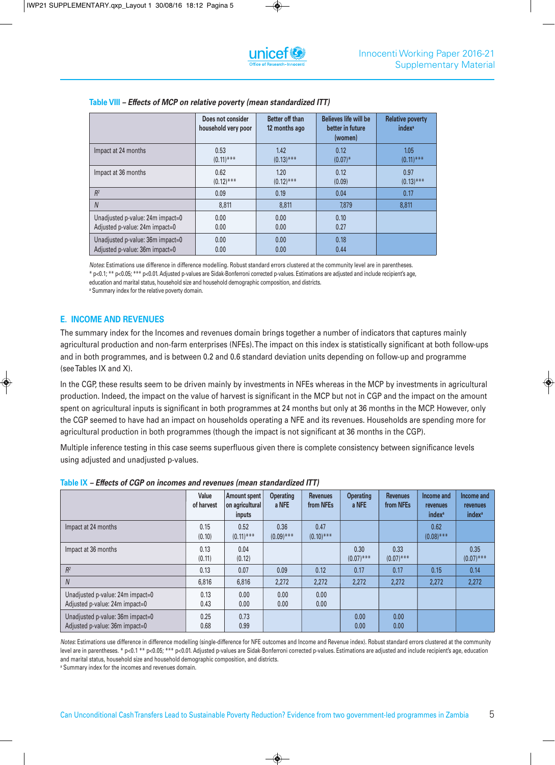|                                  | Does not consider<br>household very poor | Better off than<br>12 months ago | <b>Believes life will be</b><br>better in future<br>(women) | <b>Relative poverty</b><br><i>index<sup>a</sup></i> |
|----------------------------------|------------------------------------------|----------------------------------|-------------------------------------------------------------|-----------------------------------------------------|
| Impact at 24 months              | 0.53                                     | 1.42                             | 0.12                                                        | 1.05                                                |
|                                  | $(0.11)$ ***                             | $(0.13)$ ***                     | $(0.07)^*$                                                  | $(0.11)$ ***                                        |
| Impact at 36 months              | 0.62                                     | 1.20                             | 0.12                                                        | 0.97                                                |
|                                  | $(0.12)$ ***                             | $(0.12)$ ***                     | (0.09)                                                      | $(0.13)$ ***                                        |
| $R^2$                            | 0.09                                     | 0.19                             | 0.04                                                        | 0.17                                                |
| $\overline{N}$                   | 8.811                                    | 8,811                            | 7,879                                                       | 8.811                                               |
| Unadjusted p-value: 24m impact=0 | 0.00                                     | 0.00                             | 0.10                                                        |                                                     |
| Adjusted p-value: 24m impact=0   | 0.00                                     | 0.00                             | 0.27                                                        |                                                     |
| Unadjusted p-value: 36m impact=0 | 0.00                                     | 0.00                             | 0.18                                                        |                                                     |
| Adjusted p-value: 36m impact=0   | 0.00                                     | 0.00                             | 0.44                                                        |                                                     |

#### **Table VIII** *– Effects of MCP on relative poverty (mean standardized ITT)*

*Notes*: Estimations use difference in difference modelling. Robust standard errors clustered at the community level are in parentheses.

\* p<0.1; \*\* p<0.05; \*\*\* p<0.01. Adjusted p-values are Sidak-Bonferroni corrected p-values. Estimations are adjusted and include recipient's age,

education and marital status, household size and household demographic composition, and districts.

<sup>a</sup> Summary index for the relative poverty domain.

# **E. INCOME AND REVENUES**

The summary index for the Incomes and revenues domain brings together a number of indicators that captures mainly agricultural production and non-farm enterprises (NFEs). The impact on this index is statistically significant at both follow-ups and in both programmes, and is between 0.2 and 0.6 standard deviation units depending on follow-up and programme (see Tables IX and X).

In the CGP, these results seem to be driven mainly by investments in NFEs whereas in the MCP by investments in agricultural production. Indeed, the impact on the value of harvest is significant in the MCP but not in CGP and the impact on the amount spent on agricultural inputs is significant in both programmes at 24 months but only at 36 months in the MCP. However, only the CGP seemed to have had an impact on households operating a NFE and its revenues. Households are spending more for agricultural production in both programmes (though the impact is not significant at 36 months in the CGP).

Multiple inference testing in this case seems superfluous given there is complete consistency between significance levels using adjusted and unadjusted p-values.

**Table IX** *– Effects of CGP on incomes and revenues (mean standardized ITT)*

|                                                                    | Value<br>of harvest | Amount spent<br>on agricultural<br><i>inputs</i> | <b>Operating</b><br>a NFE | <b>Revenues</b><br>from NFE <sub>s</sub> | <b>Operating</b><br>a NFE | <b>Revenues</b><br>from NFE <sub>s</sub> | Income and<br><b>revenues</b><br>index <sup>a</sup> | Income and<br><b>revenues</b><br><i>index<sup>a</sup></i> |
|--------------------------------------------------------------------|---------------------|--------------------------------------------------|---------------------------|------------------------------------------|---------------------------|------------------------------------------|-----------------------------------------------------|-----------------------------------------------------------|
| Impact at 24 months                                                | 0.15<br>(0.10)      | 0.52<br>$(0.11)$ ***                             | 0.36<br>$(0.09)$ ***      | 0.47<br>$(0.10)$ ***                     |                           |                                          | 0.62<br>$(0.08)$ ***                                |                                                           |
| Impact at 36 months                                                | 0.13<br>(0.11)      | 0.04<br>(0.12)                                   |                           |                                          | 0.30<br>$(0.07)$ ***      | 0.33<br>$(0.07)$ ***                     |                                                     | 0.35<br>$(0.07)$ ***                                      |
| $R^2$                                                              | 0.13                | 0.07                                             | 0.09                      | 0.12                                     | 0.17                      | 0.17                                     | 0.15                                                | 0.14                                                      |
| $\overline{N}$                                                     | 6,816               | 6,816                                            | 2,272                     | 2,272                                    | 2,272                     | 2,272                                    | 2,272                                               | 2,272                                                     |
| Unadjusted p-value: 24m impact=0<br>Adjusted p-value: 24m impact=0 | 0.13<br>0.43        | 0.00<br>0.00                                     | 0.00<br>0.00              | 0.00<br>0.00                             |                           |                                          |                                                     |                                                           |
| Unadjusted p-value: 36m impact=0<br>Adjusted p-value: 36m impact=0 | 0.25<br>0.68        | 0.73<br>0.99                                     |                           |                                          | 0.00<br>0.00              | 0.00<br>0.00                             |                                                     |                                                           |

*Notes*: Estimations use difference in difference modelling (single-difference for NFE outcomes and Income and Revenue index). Robust standard errors clustered at the community level are in parentheses. \* p<0.1 \*\* p<0.05; \*\*\* p<0.01. Adjusted p-values are Sidak-Bonferroni corrected p-values. Estimations are adjusted and include recipient's age, education and marital status, household size and household demographic composition, and districts.

<sup>a</sup> Summary index for the incomes and revenues domain.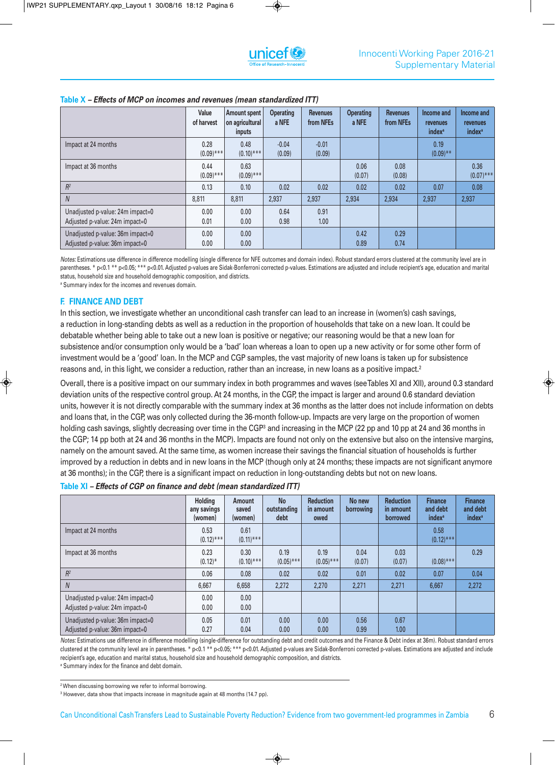|                                                                    | Value<br>of harvest  | Amount spent<br>on agricultural<br>inputs | <b>Operating</b><br>a NFE | <b>Revenues</b><br>from NFEs | <b>Operating</b><br>a NFE | <b>Revenues</b><br>from NFEs | Income and<br>revenues<br><i>index<sup>a</sup></i> | Income and<br>revenues<br><i>index<sup>a</sup></i> |
|--------------------------------------------------------------------|----------------------|-------------------------------------------|---------------------------|------------------------------|---------------------------|------------------------------|----------------------------------------------------|----------------------------------------------------|
| Impact at 24 months                                                | 0.28<br>$(0.09)$ *** | 0.48<br>$(0.10)$ ***                      | $-0.04$<br>(0.09)         | $-0.01$<br>(0.09)            |                           |                              | 0.19<br>$(0.09)$ **                                |                                                    |
| Impact at 36 months                                                | 0.44<br>$(0.09)$ *** | 0.63<br>$(0.09)$ ***                      |                           |                              | 0.06<br>(0.07)            | 0.08<br>(0.08)               |                                                    | 0.36<br>$(0.07)$ ***                               |
| $R^2$                                                              | 0.13                 | 0.10                                      | 0.02                      | 0.02                         | 0.02                      | 0.02                         | 0.07                                               | 0.08                                               |
| $\overline{N}$                                                     | 8,811                | 8,811                                     | 2,937                     | 2,937                        | 2,934                     | 2,934                        | 2,937                                              | 2,937                                              |
| Unadjusted p-value: 24m impact=0<br>Adjusted p-value: 24m impact=0 | 0.00<br>0.01         | 0.00<br>0.00                              | 0.64<br>0.98              | 0.91<br>1.00                 |                           |                              |                                                    |                                                    |
| Unadjusted p-value: 36m impact=0<br>Adjusted p-value: 36m impact=0 | 0.00<br>0.00         | 0.00<br>0.00                              |                           |                              | 0.42<br>0.89              | 0.29<br>0.74                 |                                                    |                                                    |

#### **Table X** *– Effects of MCP on incomes and revenues (mean standardized ITT)*

*Notes:* Estimations use difference in difference modelling (single difference for NFE outcomes and domain index). Robust standard errors clustered at the community level are in parentheses. \* p<0.1 \*\* p<0.05; \*\*\* p<0.01. Adjusted p-values are Sidak-Bonferroni corrected p-values. Estimations are adjusted and include recipient's age, education and marital status, household size and household demographic composition, and districts.

<sup>a</sup> Summary index for the incomes and revenues domain.

#### **F. FINANCE AND DEBT**

In this section, we investigate whether an unconditional cash transfer can lead to an increase in (women's) cash savings, a reduction in long-standing debts as well as a reduction in the proportion of households that take on a new loan. It could be debatable whether being able to take out a new loan is positive or negative; our reasoning would be that a new loan for subsistence and/or consumption only would be a 'bad' loan whereas a loan to open up a new activity or for some other form of investment would be a 'good' loan. In the MCP and CGP samples, the vast majority of new loans is taken up for subsistence reasons and, in this light, we consider a reduction, rather than an increase, in new loans as a positive impact. 2

Overall, there is a positive impact on our summary index in both programmes and waves (seeTables XI and XII), around 0.3 standard deviation units of the respective control group. At 24 months, in the CGP, the impact is larger and around 0.6 standard deviation units, however it is not directly comparable with the summary index at 36 months as the latter does not include information on debts and loans that, in the CGP, was only collected during the 36-month follow-up. Impacts are very large on the proportion of women holding cash savings, slightly decreasing over time in the CGP<sup>3</sup> and increasing in the MCP (22 pp and 10 pp at 24 and 36 months in the CGP; 14 pp both at 24 and 36 months in the MCP). Impacts are found not only on the extensive but also on the intensive margins, namely on the amount saved. At the same time, as women increase their savings the financial situation of households is further improved by a reduction in debts and in new loans in the MCP (though only at 24 months; these impacts are not significant anymore at 36 months); in the CGP, there is a significant impact on reduction in long-outstanding debts but not on new loans.

| Table XI - Effects of CGP on finance and debt (mean standardized ITT) |  |
|-----------------------------------------------------------------------|--|
|-----------------------------------------------------------------------|--|

|                                                                    | Holding<br>any savings<br>(women) | Amount<br>saved<br>(women) | <b>No</b><br>outstanding<br>debt | <b>Reduction</b><br>in amount<br>owed  | No new<br>borrowing | <b>Reduction</b><br>in amount<br><b>borrowed</b> | <b>Finance</b><br>and debt<br><i>index<sup>a</sup></i> | <b>Finance</b><br>and debt<br><i>index<sup>a</sup></i> |
|--------------------------------------------------------------------|-----------------------------------|----------------------------|----------------------------------|----------------------------------------|---------------------|--------------------------------------------------|--------------------------------------------------------|--------------------------------------------------------|
| Impact at 24 months                                                | 0.53<br>$(0.12)$ ***              | 0.61<br>$(0.11)$ ***       |                                  |                                        |                     |                                                  | 0.58<br>$(0.12)$ ***                                   |                                                        |
| Impact at 36 months                                                | 0.23<br>$(0.12)^*$                | 0.30<br>$(0.10)$ ***       | 0.19<br>$(0.05)$ ***             | 0.19<br>$(0.05)$ ***                   | 0.04<br>(0.07)      | 0.03<br>(0.07)                                   | $(0.08)$ ***                                           | 0.29                                                   |
| $R^2$                                                              | 0.06                              | 0.08                       | 0.02                             | 0.02                                   | 0.01                | 0.02                                             | 0.07                                                   | 0.04                                                   |
| $\overline{N}$                                                     | 6,667                             | 6,658                      | 2,272                            | 2,270                                  | 2,271               | 2,271                                            | 6.667                                                  | 2,272                                                  |
| Unadjusted p-value: 24m impact=0<br>Adjusted p-value: 24m impact=0 | 0.00<br>0.00                      | 0.00<br>0.00               |                                  |                                        |                     |                                                  |                                                        |                                                        |
| Unadjusted p-value: 36m impact=0<br>Adjusted p-value: 36m impact=0 | 0.05<br>0.27                      | 0.01<br>0.04               | 0.00<br>0.00                     | 0.00 <sub>1</sub><br>0.00 <sub>1</sub> | 0.56<br>0.99        | 0.67<br>1.00                                     |                                                        |                                                        |

*Notes:* Estimations use difference in difference modelling (single-difference for outstanding debt and credit outcomes and the Finance & Debt index at 36m). Robust standard errors clustered at the community level are in parentheses. \* p<0.1 \*\* p<0.05; \*\*\* p<0.01. Adjusted p-values are Sidak-Bonferroni corrected p-values. Estimations are adjusted and include recipient's age, education and marital status, household size and household demographic composition, and districts. <sup>a</sup> Summary index for the finance and debt domain.

<sup>&</sup>lt;sup>2</sup> When discussing borrowing we refer to informal borrowing.

<sup>&</sup>lt;sup>3</sup> However, data show that impacts increase in magnitude again at 48 months (14.7 pp).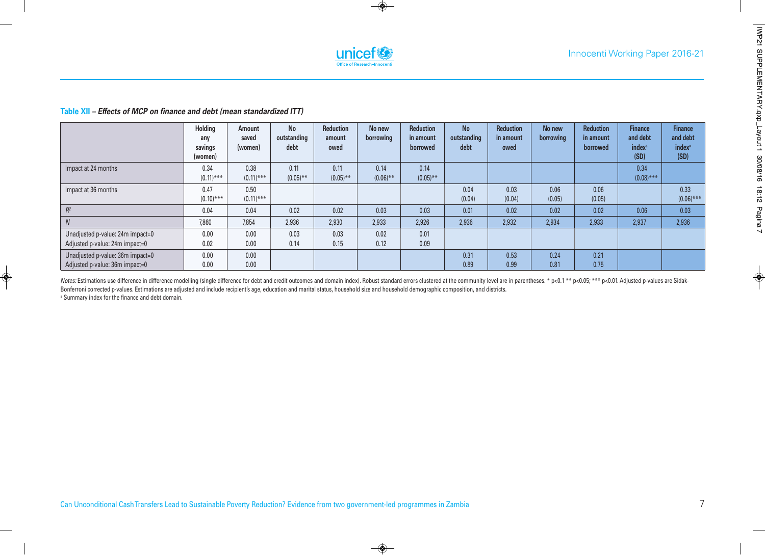

#### **Table XII** *– Effects of MCP on finance and debt (mean standardized ITT)*

|                                                                    | Holding<br>any<br>savings<br>(women) | Amount<br>saved<br>(women) | <b>No</b><br>outstanding<br>debt | Reduction<br>amount<br>owed | No new<br>borrowing | <b>Reduction</b><br>in amount<br>borrowed | <b>No</b><br>outstanding<br>debt | <b>Reduction</b><br>in amount<br>owed | No new<br>borrowing | <b>Reduction</b><br>in amount<br>borrowed | <b>Finance</b><br>and debt<br><i>index<sup>a</sup></i><br>(SD) | <b>Finance</b><br>and debt<br><i>index<sup>a</sup></i><br>(SD) |
|--------------------------------------------------------------------|--------------------------------------|----------------------------|----------------------------------|-----------------------------|---------------------|-------------------------------------------|----------------------------------|---------------------------------------|---------------------|-------------------------------------------|----------------------------------------------------------------|----------------------------------------------------------------|
| Impact at 24 months                                                | 0.34<br>$(0.11)$ ***                 | 0.38<br>$(0.11)$ ***       | 0.11<br>$(0.05)$ **              | 0.11<br>$(0.05)$ **         | 0.14<br>$(0.06)$ ** | 0.14<br>$(0.05)$ **                       |                                  |                                       |                     |                                           | 0.34<br>$(0.08)$ ***                                           |                                                                |
| Impact at 36 months                                                | 0.47<br>$(0.10)$ ***                 | 0.50<br>$(0.11)$ ***       |                                  |                             |                     |                                           | 0.04<br>(0.04)                   | 0.03<br>(0.04)                        | 0.06<br>(0.05)      | 0.06<br>(0.05)                            |                                                                | 0.33<br>$(0.06)$ ***                                           |
| $R^2$                                                              | 0.04                                 | 0.04                       | 0.02                             | 0.02                        | 0.03                | 0.03                                      | 0.01                             | 0.02                                  | 0.02                | 0.02                                      | 0.06                                                           | 0.03                                                           |
| $\overline{N}$                                                     | 7,860                                | 7,854                      | 2,936                            | 2,930                       | 2,933               | 2,926                                     | 2,936                            | 2,932                                 | 2,934               | 2,933                                     | 2,937                                                          | 2,936                                                          |
| Unadjusted p-value: 24m impact=0<br>Adjusted p-value: 24m impact=0 | 0.00<br>0.02                         | 0.00<br>0.00               | 0.03<br>0.14                     | 0.03<br>0.15                | 0.02<br>0.12        | 0.01<br>0.09                              |                                  |                                       |                     |                                           |                                                                |                                                                |
| Unadjusted p-value: 36m impact=0<br>Adjusted p-value: 36m impact=0 | 0.00<br>0.00                         | 0.00<br>0.00               |                                  |                             |                     |                                           | 0.31<br>0.89                     | 0.53<br>0.99                          | 0.24<br>0.81        | 0.21<br>0.75                              |                                                                |                                                                |

Notes: Estimations use difference in difference modelling (single difference for debt and credit outcomes and domain index). Robust standard errors clustered at the community level are in parentheses. \* p<0.1 \*\* p<0.05; \*\* Bonferroni corrected p-values. Estimations are adjusted and include recipient's age, education and marital status, household size and household demographic composition, and districts. <sup>a</sup> Summary index for the finance and debt domain.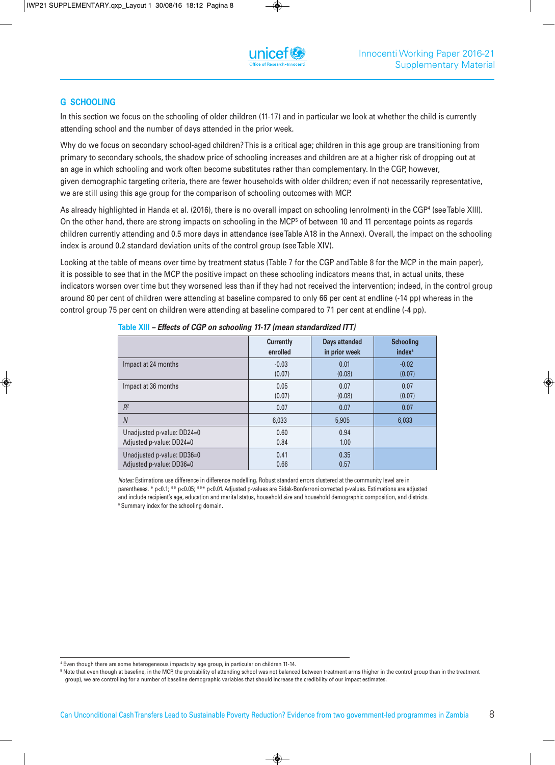#### **G SCHOOLING**

In this section we focus on the schooling of older children (11-17) and in particular we look at whether the child is currently attending school and the number of days attended in the prior week.

Why do we focus on secondary school-aged children?This is a critical age; children in this age group are transitioning from primary to secondary schools, the shadow price of schooling increases and children are at a higher risk of dropping out at an age in which schooling and work often become substitutes rather than complementary. In the CGP, however, given demographic targeting criteria, there are fewer households with older children; even if not necessarily representative, we are still using this age group for the comparison of schooling outcomes with MCP.

As already highlighted in Handa et al. (2016), there is no overall impact on schooling (enrolment) in the CGP4 (seeTable XIII). On the other hand, there are strong impacts on schooling in the MCP<sup>5</sup> of between 10 and 11 percentage points as regards children currently attending and 0.5 more days in attendance (seeTable A18 in the Annex). Overall, the impact on the schooling index is around 0.2 standard deviation units of the control group (seeTable XIV).

Looking at the table of means over time by treatment status (Table 7 for the CGP andTable 8 for the MCP in the main paper), it is possible to see that in the MCP the positive impact on these schooling indicators means that, in actual units, these indicators worsen over time but they worsened less than if they had not received the intervention; indeed, in the control group around 80 per cent of children were attending at baseline compared to only 66 per cent at endline (-14 pp) whereas in the control group 75 per cent on children were attending at baseline compared to 71 per cent at endline (-4 pp).

|                            | <b>Currently</b> | <b>Days attended</b> | <b>Schooling</b>         |
|----------------------------|------------------|----------------------|--------------------------|
|                            | enrolled         | in prior week        | <i>index<sup>a</sup></i> |
| Impact at 24 months        | $-0.03$          | 0.01                 | $-0.02$                  |
|                            | (0.07)           | (0.08)               | (0.07)                   |
| Impact at 36 months        | 0.05             | 0.07                 | 0.07                     |
|                            | (0.07)           | (0.08)               | (0.07)                   |
| $R^2$                      | 0.07             | 0.07                 | 0.07                     |
| $\overline{N}$             | 6,033            | 5,905                | 6,033                    |
| Unadjusted p-value: DD24=0 | 0.60             | 0.94                 |                          |
| Adjusted p-value: DD24=0   | 0.84             | 1.00                 |                          |
| Unadjusted p-value: DD36=0 | 0.41             | 0.35                 |                          |
| Adjusted p-value: DD36=0   | 0.66             | 0.57                 |                          |

**Table XIII** *– Effects of CGP on schooling 11-17 (mean standardized ITT)*

*Notes:* Estimations use difference in difference modelling. Robust standard errors clustered at the community level are in parentheses. \* p<0.1; \*\* p<0.05; \*\*\* p<0.01. Adjusted p-values are Sidak-Bonferroni corrected p-values. Estimations are adjusted and include recipient's age, education and marital status, household size and household demographic composition, and districts. <sup>a</sup> Summary index for the schooling domain.

<sup>4</sup> Even though there are some heterogeneous impacts by age group, in particular on children 11-14.

<sup>5</sup> Note that even though at baseline, in the MCP, the probability of attending school was not balanced between treatment arms (higher in the control group than in the treatment group), we are controlling for a number of baseline demographic variables that should increase the credibility of our impact estimates.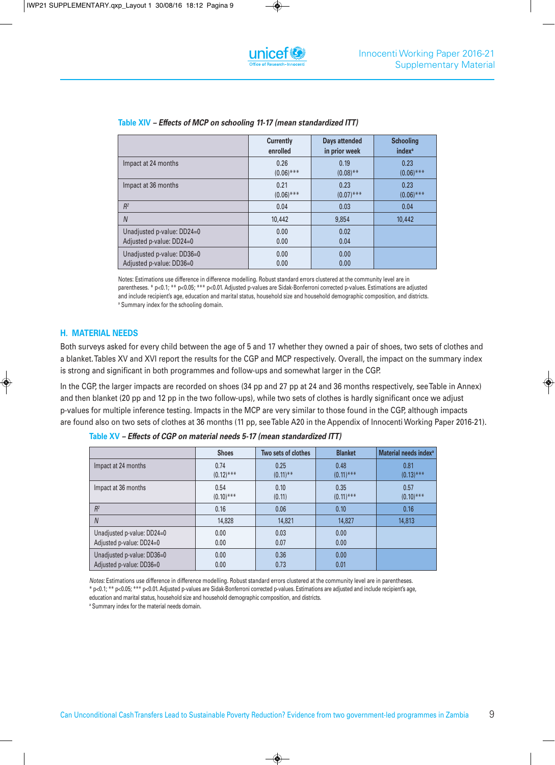|                            | <b>Currently</b> | Days attended | <b>Schooling</b>         |
|----------------------------|------------------|---------------|--------------------------|
|                            | enrolled         | in prior week | <i>index<sup>a</sup></i> |
| Impact at 24 months        | 0.26             | 0.19          | 0.23                     |
|                            | $(0.06)$ ***     | $(0.08)$ **   | $(0.06)$ ***             |
| Impact at 36 months        | 0.21             | 0.23          | 0.23                     |
|                            | $(0.06)$ ***     | $(0.07)$ ***  | $(0.06)$ ***             |
| $R^2$                      | 0.04             | 0.03          | 0.04                     |
| $\overline{N}$             | 10,442           | 9,854         | 10,442                   |
| Unadjusted p-value: DD24=0 | 0.00             | 0.02          |                          |
| Adjusted p-value: DD24=0   | 0.00             | 0.04          |                          |
| Unadjusted p-value: DD36=0 | 0.00             | 0.00          |                          |
| Adjusted p-value: DD36=0   | 0.00             | 0.00          |                          |

# **Table XIV** *– Effects of MCP on schooling 11-17 (mean standardized ITT)*

Notes: Estimations use difference in difference modelling. Robust standard errors clustered at the community level are in parentheses. \* p<0.1; \*\* p<0.05; \*\*\* p<0.01. Adjusted p-values are Sidak-Bonferroni corrected p-values. Estimations are adjusted and include recipient's age, education and marital status, household size and household demographic composition, and districts. <sup>a</sup> Summary index for the schooling domain.

#### **H. MATERIAL NEEDS**

Both surveys asked for every child between the age of 5 and 17 whether they owned a pair of shoes, two sets of clothes and a blanket.Tables XV and XVI report the results for the CGP and MCP respectively. Overall, the impact on the summary index is strong and significant in both programmes and follow-ups and somewhat larger in the CGP.

In the CGP, the larger impacts are recorded on shoes (34 pp and 27 pp at 24 and 36 months respectively, seeTable in Annex) and then blanket (20 pp and 12 pp in the two follow-ups), while two sets of clothes is hardly significant once we adjust p-values for multiple inference testing. Impacts in the MCP are very similar to those found in the CGP, although impacts are found also on two sets of clothes at 36 months (11 pp, seeTable A20 in the Appendix of Innocenti Working Paper 2016-21).

|                            | <b>Shoes</b> | Two sets of clothes | <b>Blanket</b> | Material needs index <sup>a</sup> |
|----------------------------|--------------|---------------------|----------------|-----------------------------------|
| Impact at 24 months        | 0.74         | 0.25                | 0.48           | 0.81                              |
|                            | $(0.12)$ *** | $(0.11)$ **         | $(0.11)$ ***   | $(0.13)$ ***                      |
| Impact at 36 months        | 0.54         | 0.10                | 0.35           | 0.57                              |
|                            | $(0.10)$ *** | (0.11)              | $(0.11)$ ***   | $(0.10)$ ***                      |
| $R^2$                      | 0.16         | 0.06                | 0.10           | 0.16                              |
| $\overline{N}$             | 14,828       | 14,821              | 14,827         | 14,813                            |
| Unadjusted p-value: DD24=0 | 0.00         | 0.03                | 0.00           |                                   |
| Adjusted p-value: DD24=0   | 0.00         | 0.07                | 0.00           |                                   |
| Unadjusted p-value: DD36=0 | 0.00         | 0.36                | 0.00           |                                   |
| Adjusted p-value: DD36=0   | 0.00         | 0.73                | 0.01           |                                   |

**Table XV** *– Effects of CGP on material needs 5-17 (mean standardized ITT)*

*Notes:* Estimations use difference in difference modelling. Robust standard errors clustered at the community level are in parentheses.

\* p<0.1; \*\* p<0.05; \*\*\* p<0.01. Adjusted p-values are Sidak-Bonferroni corrected p-values. Estimations are adjusted and include recipient's age, education and marital status, household size and household demographic composition, and districts.

<sup>a</sup> Summary index for the material needs domain.